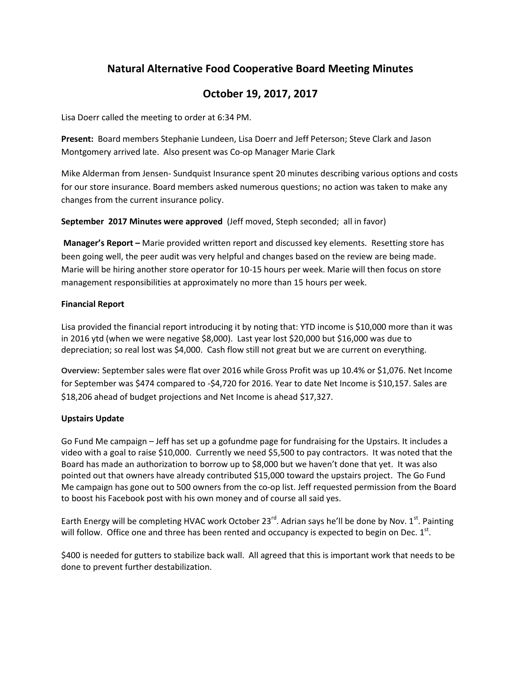# **Natural Alternative Food Cooperative Board Meeting Minutes**

## **October 19, 2017, 2017**

Lisa Doerr called the meeting to order at 6:34 PM.

**Present:** Board members Stephanie Lundeen, Lisa Doerr and Jeff Peterson; Steve Clark and Jason Montgomery arrived late. Also present was Co-op Manager Marie Clark

Mike Alderman from Jensen- Sundquist Insurance spent 20 minutes describing various options and costs for our store insurance. Board members asked numerous questions; no action was taken to make any changes from the current insurance policy.

**September 2017 Minutes were approved** (Jeff moved, Steph seconded; all in favor)

**Manager's Report –** Marie provided written report and discussed key elements. Resetting store has been going well, the peer audit was very helpful and changes based on the review are being made. Marie will be hiring another store operator for 10-15 hours per week. Marie will then focus on store management responsibilities at approximately no more than 15 hours per week.

## **Financial Report**

Lisa provided the financial report introducing it by noting that: YTD income is \$10,000 more than it was in 2016 ytd (when we were negative \$8,000). Last year lost \$20,000 but \$16,000 was due to depreciation; so real lost was \$4,000. Cash flow still not great but we are current on everything.

**Overview:** September sales were flat over 2016 while Gross Profit was up 10.4% or \$1,076. Net Income for September was \$474 compared to -\$4,720 for 2016. Year to date Net Income is \$10,157. Sales are \$18,206 ahead of budget projections and Net Income is ahead \$17,327.

## **Upstairs Update**

Go Fund Me campaign – Jeff has set up a gofundme page for fundraising for the Upstairs. It includes a video with a goal to raise \$10,000. Currently we need \$5,500 to pay contractors. It was noted that the Board has made an authorization to borrow up to \$8,000 but we haven't done that yet. It was also pointed out that owners have already contributed \$15,000 toward the upstairs project. The Go Fund Me campaign has gone out to 500 owners from the co-op list. Jeff requested permission from the Board to boost his Facebook post with his own money and of course all said yes.

Earth Energy will be completing HVAC work October 23<sup>rd</sup>. Adrian says he'll be done by Nov. 1<sup>st</sup>. Painting will follow. Office one and three has been rented and occupancy is expected to begin on Dec.  $1^{st}$ .

\$400 is needed for gutters to stabilize back wall. All agreed that this is important work that needs to be done to prevent further destabilization.